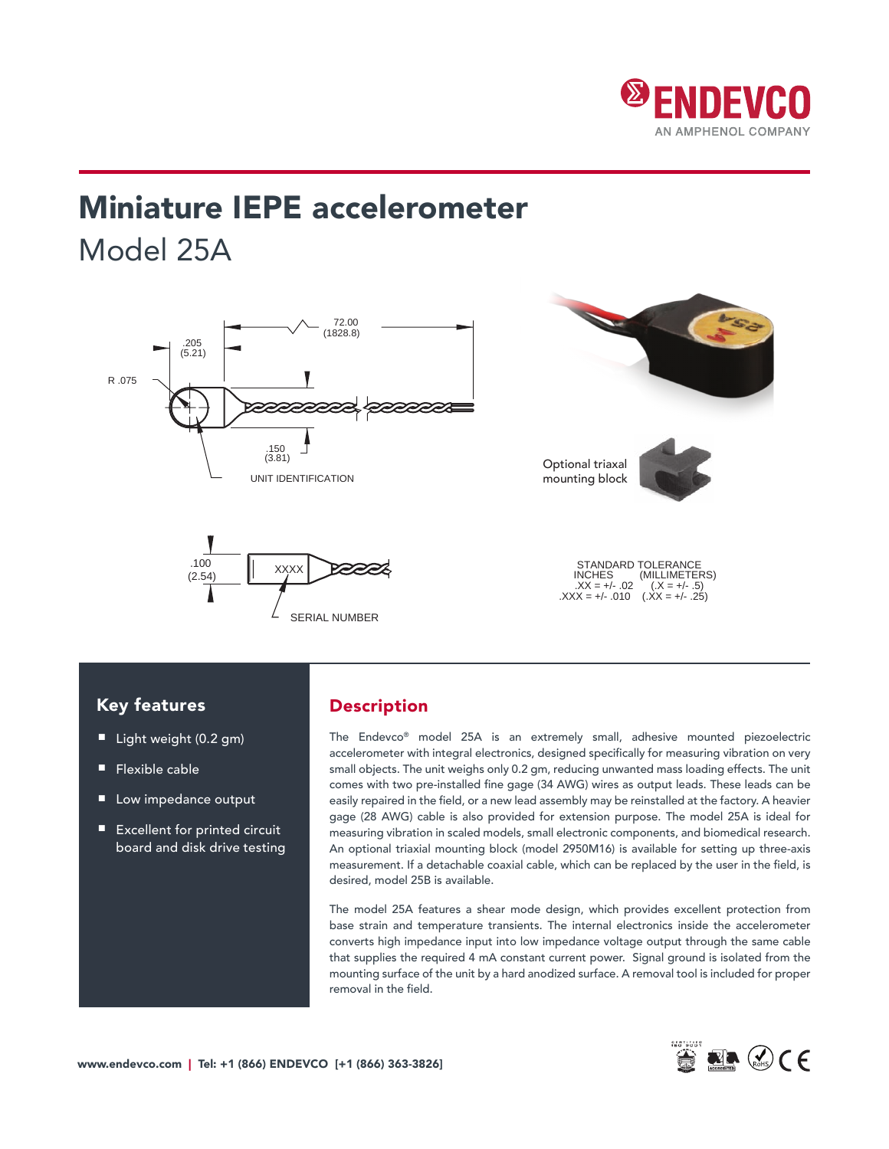

# Miniature IEPE accelerometer Model 25A



### Key features

- Light weight (0.2 gm)
- Flexible cable
- Low impedance output
- Excellent for printed circuit board and disk drive testing

### **STANDARD EXECUTIVE DESCRiption**

STANDARD TOLERANCE INCHES (MILLIMETERS) .XX = +/- .02 (.X = +/- .5)

> The Endevco® model 25A is an extremely small, adhesive mounted piezoelectric accelerometer with integral electronics, designed specifically for measuring vibration on very small objects. The unit weighs only 0.2 gm, reducing unwanted mass loading effects. The unit comes with two pre-installed fine gage (34 AWG) wires as output leads. These leads can be easily repaired in the field, or a new lead assembly may be reinstalled at the factory. A heavier gage (28 AWG) cable is also provided for extension purpose. The model 25A is ideal for measuring vibration in scaled models, small electronic components, and biomedical research. An optional triaxial mounting block (model 2950M16) is available for setting up three-axis measurement. If a detachable coaxial cable, which can be replaced by the user in the field, is desired, model 25B is available.

> The model 25A features a shear mode design, which provides excellent protection from base strain and temperature transients. The internal electronics inside the accelerometer converts high impedance input into low impedance voltage output through the same cable that supplies the required 4 mA constant current power. Signal ground is isolated from the mounting surface of the unit by a hard anodized surface. A removal tool is included for proper removal in the field.

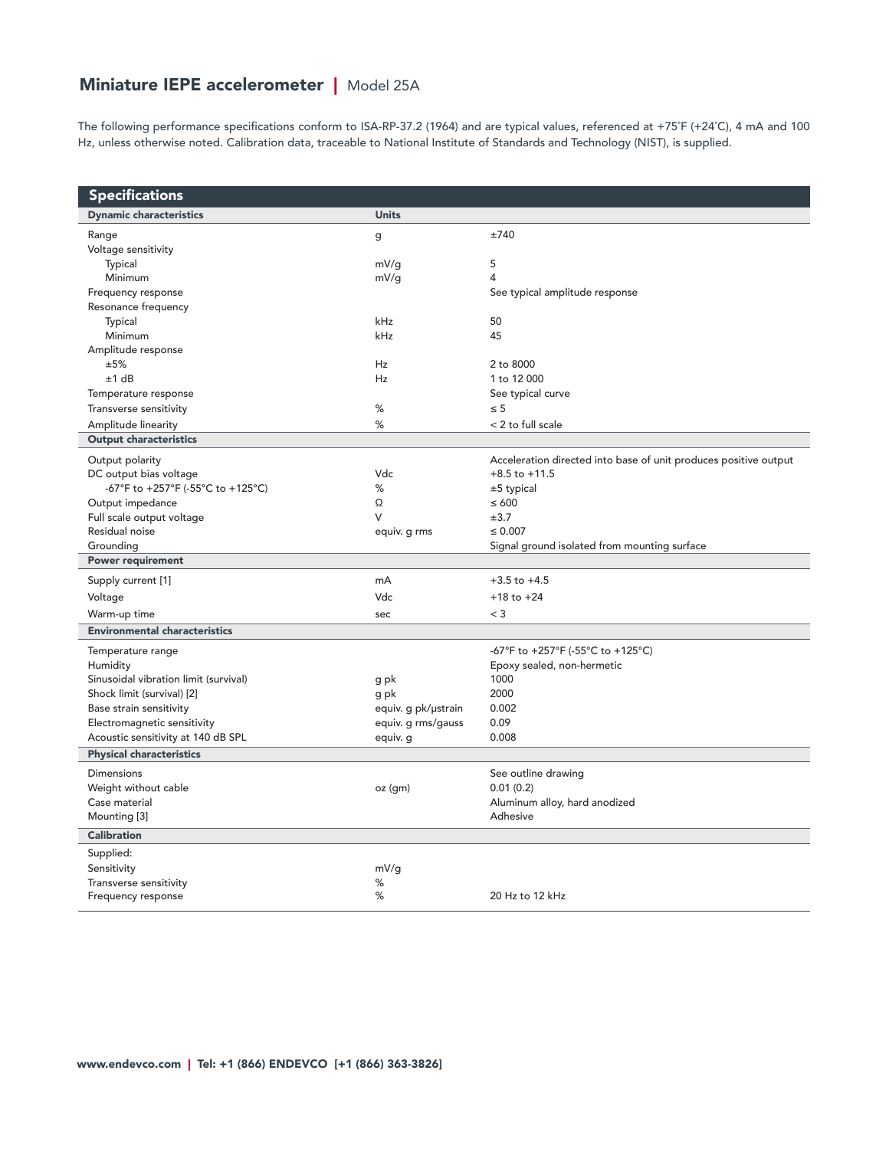## Miniature IEPE accelerometer | Model 25A

The following performance specifications conform to ISA-RP-37.2 (1964) and are typical values, referenced at +75˚F (+24˚C), 4 mA and 100 Hz, unless otherwise noted. Calibration data, traceable to National Institute of Standards and Technology (NIST), is supplied.

| <b>Specifications</b>                 |                     |                                                                  |
|---------------------------------------|---------------------|------------------------------------------------------------------|
| <b>Dynamic characteristics</b>        | <b>Units</b>        |                                                                  |
| Range                                 | g                   | ±740                                                             |
| Voltage sensitivity                   |                     |                                                                  |
| Typical                               | mV/g                | 5                                                                |
| Minimum                               | mV/g                | $\overline{4}$                                                   |
| Frequency response                    |                     | See typical amplitude response                                   |
| Resonance frequency                   |                     |                                                                  |
| <b>Typical</b>                        | kHz                 | 50                                                               |
| Minimum                               | kHz                 | 45                                                               |
| Amplitude response                    |                     |                                                                  |
| ±5%                                   | <b>Hz</b>           | 2 to 8000                                                        |
| ±1 dB                                 | <b>Hz</b>           | 1 to 12 000                                                      |
| Temperature response                  |                     | See typical curve                                                |
| Transverse sensitivity                | %                   | $\leq 5$                                                         |
| Amplitude linearity                   | %                   | < 2 to full scale                                                |
| <b>Output characteristics</b>         |                     |                                                                  |
| Output polarity                       |                     | Acceleration directed into base of unit produces positive output |
| DC output bias voltage                | Vdc                 | $+8.5$ to $+11.5$                                                |
| -67°F to +257°F (-55°C to +125°C)     | %                   | $±5$ typical                                                     |
| Output impedance                      | Ω                   | $\leq 600$                                                       |
| Full scale output voltage             | V                   | ±3.7                                                             |
| Residual noise                        | equiv. g rms        | $\leq 0.007$                                                     |
| Grounding                             |                     | Signal ground isolated from mounting surface                     |
| <b>Power requirement</b>              |                     |                                                                  |
| Supply current [1]                    | mA                  | $+3.5$ to $+4.5$                                                 |
| Voltage                               | Vdc                 | $+18$ to $+24$                                                   |
| Warm-up time                          | sec                 | $<$ 3                                                            |
| <b>Environmental characteristics</b>  |                     |                                                                  |
| Temperature range                     |                     | -67°F to +257°F (-55°C to +125°C)                                |
| Humidity                              |                     | Epoxy sealed, non-hermetic                                       |
| Sinusoidal vibration limit (survival) | g pk                | 1000                                                             |
| Shock limit (survival) [2]            | g pk                | 2000                                                             |
| Base strain sensitivity               | equiv. g pk/ustrain | 0.002                                                            |
| Electromagnetic sensitivity           | equiv. g rms/gauss  | 0.09                                                             |
| Acoustic sensitivity at 140 dB SPL    | equiv. g            | 0.008                                                            |
| <b>Physical characteristics</b>       |                     |                                                                  |
| Dimensions                            |                     | See outline drawing                                              |
| Weight without cable                  | oz (gm)             | 0.01(0.2)                                                        |
| Case material                         |                     | Aluminum alloy, hard anodized                                    |
| Mounting [3]                          |                     | Adhesive                                                         |
| <b>Calibration</b>                    |                     |                                                                  |
| Supplied:                             |                     |                                                                  |
| Sensitivity                           | mV/g                |                                                                  |
| Transverse sensitivity                | %                   |                                                                  |
| Frequency response                    | $\%$                | 20 Hz to 12 kHz                                                  |